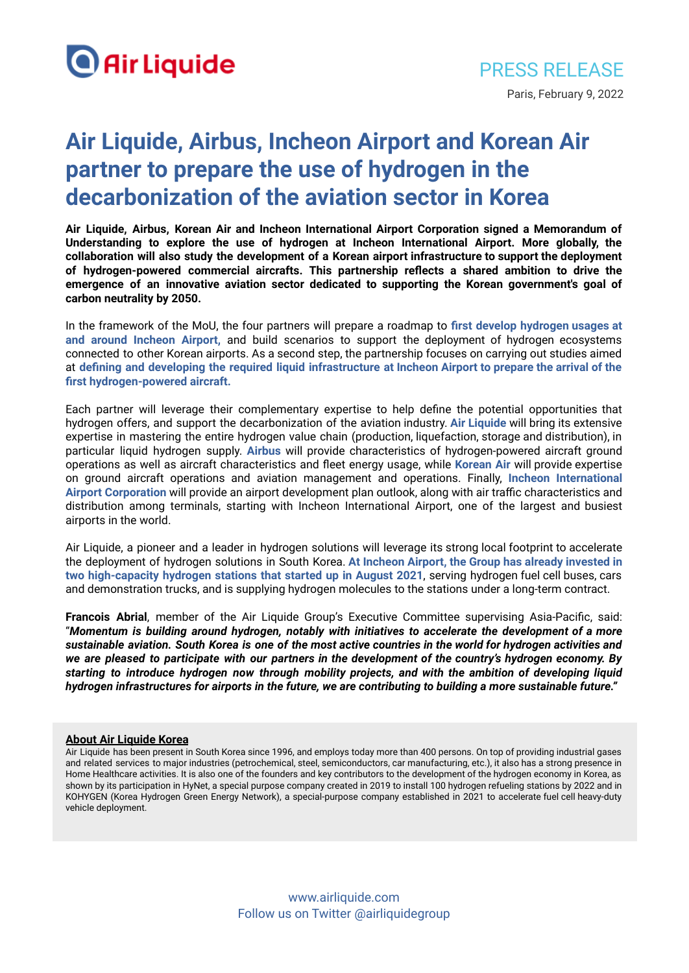

## **Air Liquide, Airbus, Incheon Airport and Korean Air partner to prepare the use of hydrogen in the decarbonization of the aviation sector in Korea**

**Air Liquide, Airbus, Korean Air and Incheon International Airport Corporation signed a Memorandum of Understanding to explore the use of hydrogen at Incheon International Airport. More globally, the collaboration will also study the development of a Korean airport infrastructure to support the deployment of hydrogen-powered commercial aircrafts. This partnership reflects a shared ambition to drive the emergence of an innovative aviation sector dedicated to supporting the Korean government's goal of carbon neutrality by 2050.**

In the framework of the MoU, the four partners will prepare a roadmap to **first develop hydrogen usages at and around Incheon Airport,** and build scenarios to support the deployment of hydrogen ecosystems connected to other Korean airports. As a second step, the partnership focuses on carrying out studies aimed at **defining and developing the required liquid infrastructure at Incheon Airport to prepare the arrival of the first hydrogen-powered aircraft.**

Each partner will leverage their complementary expertise to help define the potential opportunities that hydrogen offers, and support the decarbonization of the aviation industry. **Air Liquide** will bring its extensive expertise in mastering the entire hydrogen value chain (production, liquefaction, storage and distribution), in particular liquid hydrogen supply. **Airbus** will provide characteristics of hydrogen-powered aircraft ground operations as well as aircraft characteristics and fleet energy usage, while **Korean Air** will provide expertise on ground aircraft operations and aviation management and operations. Finally, **Incheon International Airport Corporation** will provide an airport development plan outlook, along with air traffic characteristics and distribution among terminals, starting with Incheon International Airport, one of the largest and busiest airports in the world.

Air Liquide, a pioneer and a leader in hydrogen solutions will leverage its strong local footprint to accelerate the deployment of hydrogen solutions in South Korea. **At Incheon Airport, the Group has already invested in two high-capacity hydrogen stations that started up in August 2021**, serving hydrogen fuel cell buses, cars and demonstration trucks, and is supplying hydrogen molecules to the stations under a long-term contract.

**Francois Abrial**, member of the Air Liquide Group's Executive Committee supervising Asia-Pacific, said: "*Momentum is building around hydrogen, notably with initiatives to accelerate the development of a more* sustainable aviation. South Korea is one of the most active countries in the world for hydrogen activities and *we are pleased to participate with our partners in the development of the country's hydrogen economy. By starting to introduce hydrogen now through mobility projects, and with the ambition of developing liquid hydrogen infrastructures for airports in the future, we are contributing to building a more sustainable future."*

## **About Air Liquide Korea**

Air Liquide has been present in South Korea since 1996, and employs today more than 400 persons. On top of providing industrial gases and related services to major industries (petrochemical, steel, semiconductors, car manufacturing, etc.), it also has a strong presence in Home Healthcare activities. It is also one of the founders and key contributors to the development of the hydrogen economy in Korea, as shown by its participation in HyNet, a special purpose company created in 2019 to install 100 hydrogen refueling stations by 2022 and in KOHYGEN (Korea Hydrogen Green Energy Network), a special-purpose company established in 2021 to accelerate fuel cell heavy-duty vehicle deployment.